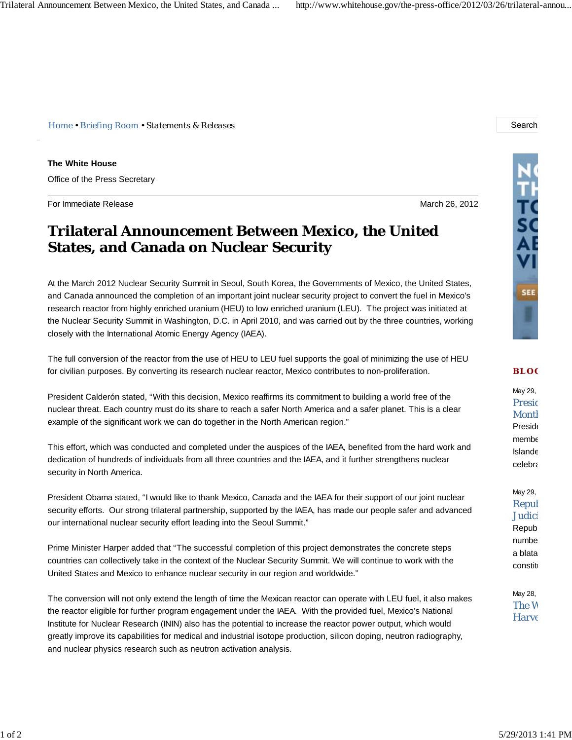*Home • Briefing Room • Statements & Releases* Search

**The White House** Office of the Press Secretary

For Immediate Release March 26, 2012

# **Trilateral Announcement Between Mexico, the United States, and Canada on Nuclear Security**

At the March 2012 Nuclear Security Summit in Seoul, South Korea, the Governments of Mexico, the United States, and Canada announced the completion of an important joint nuclear security project to convert the fuel in Mexico's research reactor from highly enriched uranium (HEU) to low enriched uranium (LEU). The project was initiated at the Nuclear Security Summit in Washington, D.C. in April 2010, and was carried out by the three countries, working closely with the International Atomic Energy Agency (IAEA).

The full conversion of the reactor from the use of HEU to LEU fuel supports the goal of minimizing the use of HEU for civilian purposes. By converting its research nuclear reactor, Mexico contributes to non-proliferation.

President Calderón stated, "With this decision, Mexico reaffirms its commitment to building a world free of the nuclear threat. Each country must do its share to reach a safer North America and a safer planet. This is a clear example of the significant work we can do together in the North American region."

This effort, which was conducted and completed under the auspices of the IAEA, benefited from the hard work and dedication of hundreds of individuals from all three countries and the IAEA, and it further strengthens nuclear security in North America.

President Obama stated, "I would like to thank Mexico, Canada and the IAEA for their support of our joint nuclear security efforts. Our strong trilateral partnership, supported by the IAEA, has made our people safer and advanced our international nuclear security effort leading into the Seoul Summit."

Prime Minister Harper added that "The successful completion of this project demonstrates the concrete steps countries can collectively take in the context of the Nuclear Security Summit. We will continue to work with the United States and Mexico to enhance nuclear security in our region and worldwide."

The conversion will not only extend the length of time the Mexican reactor can operate with LEU fuel, it also makes the reactor eligible for further program engagement under the IAEA. With the provided fuel, Mexico's National Institute for Nuclear Research (ININ) also has the potential to increase the reactor power output, which would greatly improve its capabilities for medical and industrial isotope production, silicon doping, neutron radiography, and nuclear physics research such as neutron activation analysis.



#### **BLO G**

May 29, Presid **Month Preside** membe Islande celebra

## May 29, Repul **Judici** Repub numbe a blata

May 28, The W Harve

constit